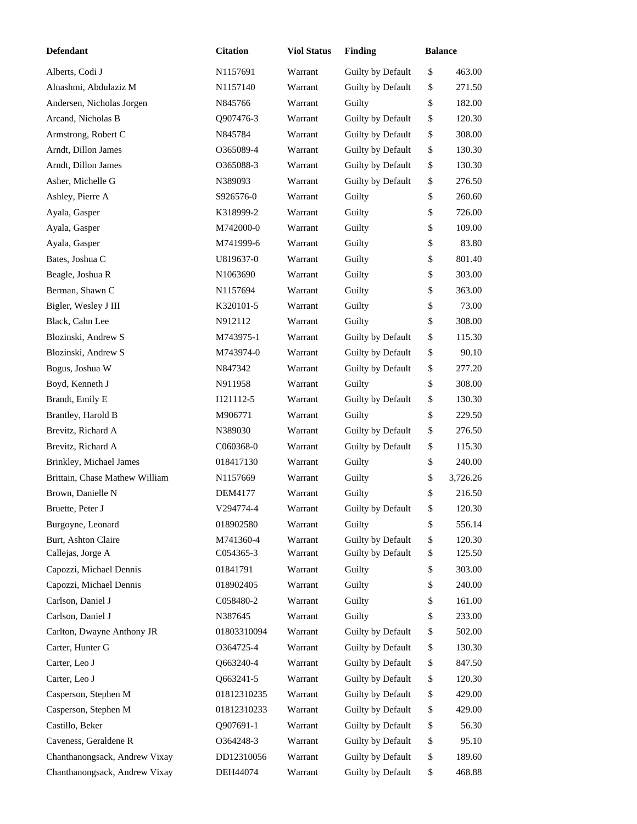| <b>Defendant</b>               | <b>Citation</b>      | <b>Viol Status</b> | <b>Finding</b>    | <b>Balance</b> |          |
|--------------------------------|----------------------|--------------------|-------------------|----------------|----------|
| Alberts, Codi J                | N <sub>1157691</sub> | Warrant            | Guilty by Default | \$             | 463.00   |
| Alnashmi, Abdulaziz M          | N <sub>1157140</sub> | Warrant            | Guilty by Default | \$             | 271.50   |
| Andersen, Nicholas Jorgen      | N845766              | Warrant            | Guilty            | \$             | 182.00   |
| Arcand, Nicholas B             | Q907476-3            | Warrant            | Guilty by Default | \$             | 120.30   |
| Armstrong, Robert C            | N845784              | Warrant            | Guilty by Default | \$             | 308.00   |
| Arndt, Dillon James            | 0365089-4            | Warrant            | Guilty by Default | \$             | 130.30   |
| Arndt, Dillon James            | O365088-3            | Warrant            | Guilty by Default | \$             | 130.30   |
| Asher, Michelle G              | N389093              | Warrant            | Guilty by Default | \$             | 276.50   |
| Ashley, Pierre A               | S926576-0            | Warrant            | Guilty            | \$             | 260.60   |
| Ayala, Gasper                  | K318999-2            | Warrant            | Guilty            | \$             | 726.00   |
| Ayala, Gasper                  | M742000-0            | Warrant            | Guilty            | \$             | 109.00   |
| Ayala, Gasper                  | M741999-6            | Warrant            | Guilty            | \$             | 83.80    |
| Bates, Joshua C                | U819637-0            | Warrant            | Guilty            | \$             | 801.40   |
| Beagle, Joshua R               | N <sub>1063690</sub> | Warrant            | Guilty            | \$             | 303.00   |
| Berman, Shawn C                | N <sub>1157694</sub> | Warrant            | Guilty            | \$             | 363.00   |
| Bigler, Wesley J III           | K320101-5            | Warrant            | Guilty            | \$             | 73.00    |
| Black, Cahn Lee                | N912112              | Warrant            | Guilty            | \$             | 308.00   |
| Blozinski, Andrew S            | M743975-1            | Warrant            | Guilty by Default | \$             | 115.30   |
| Blozinski, Andrew S            | M743974-0            | Warrant            | Guilty by Default | \$             | 90.10    |
| Bogus, Joshua W                | N847342              | Warrant            | Guilty by Default | \$             | 277.20   |
| Boyd, Kenneth J                | N911958              | Warrant            | Guilty            | \$             | 308.00   |
| Brandt, Emily E                | I121112-5            | Warrant            | Guilty by Default | \$             | 130.30   |
| Brantley, Harold B             | M906771              | Warrant            | Guilty            | \$             | 229.50   |
| Brevitz, Richard A             | N389030              | Warrant            | Guilty by Default | \$             | 276.50   |
| Brevitz, Richard A             | C060368-0            | Warrant            | Guilty by Default | \$             | 115.30   |
| Brinkley, Michael James        | 018417130            | Warrant            | Guilty            | \$             | 240.00   |
| Brittain, Chase Mathew William | N1157669             | Warrant            | Guilty            | \$             | 3,726.26 |
| Brown, Danielle N              | DEM4177              | Warrant            | Guilty            | \$             | 216.50   |
| Bruette, Peter J               | V294774-4            | Warrant            | Guilty by Default | \$             | 120.30   |
| Burgoyne, Leonard              | 018902580            | Warrant            | Guilty            | \$             | 556.14   |
| Burt, Ashton Claire            | M741360-4            | Warrant            | Guilty by Default | \$             | 120.30   |
| Callejas, Jorge A              | C054365-3            | Warrant            | Guilty by Default | \$             | 125.50   |
| Capozzi, Michael Dennis        | 01841791             | Warrant            | Guilty            | \$             | 303.00   |
| Capozzi, Michael Dennis        | 018902405            | Warrant            | Guilty            | \$             | 240.00   |
| Carlson, Daniel J              | C058480-2            | Warrant            | Guilty            | \$             | 161.00   |
| Carlson, Daniel J              | N387645              | Warrant            | Guilty            | \$             | 233.00   |
| Carlton, Dwayne Anthony JR     | 01803310094          | Warrant            | Guilty by Default | \$             | 502.00   |
| Carter, Hunter G               | O364725-4            | Warrant            | Guilty by Default | \$             | 130.30   |
| Carter, Leo J                  | Q663240-4            | Warrant            | Guilty by Default | \$             | 847.50   |
| Carter, Leo J                  | Q663241-5            | Warrant            | Guilty by Default | \$             | 120.30   |
| Casperson, Stephen M           | 01812310235          | Warrant            | Guilty by Default | \$             | 429.00   |
| Casperson, Stephen M           | 01812310233          | Warrant            | Guilty by Default | \$             | 429.00   |
| Castillo, Beker                | Q907691-1            | Warrant            | Guilty by Default | \$             | 56.30    |
| Caveness, Geraldene R          | O364248-3            | Warrant            | Guilty by Default | \$             | 95.10    |
| Chanthanongsack, Andrew Vixay  | DD12310056           | Warrant            | Guilty by Default | \$             | 189.60   |
| Chanthanongsack, Andrew Vixay  | DEH44074             | Warrant            | Guilty by Default | \$             | 468.88   |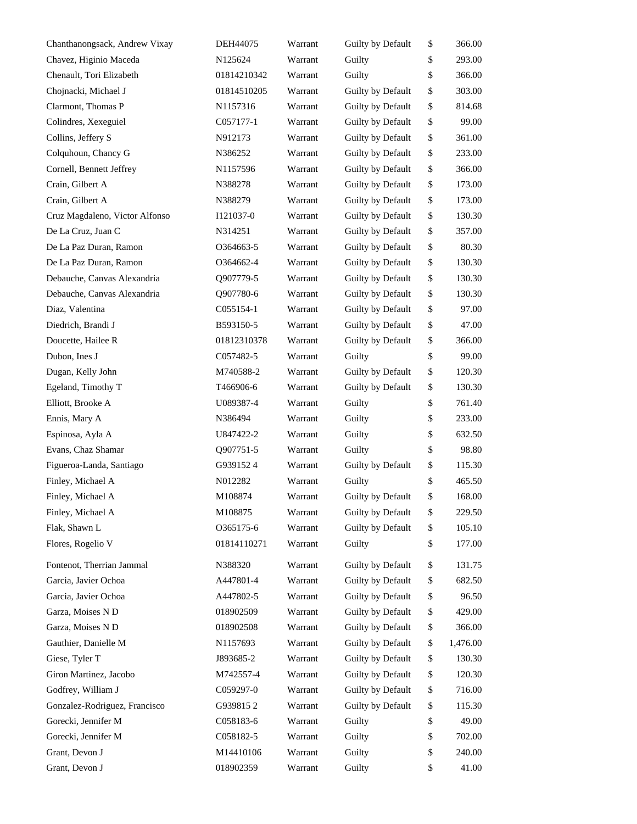| Chanthanongsack, Andrew Vixay  | DEH44075             | Warrant | Guilty by Default | \$<br>366.00   |
|--------------------------------|----------------------|---------|-------------------|----------------|
| Chavez, Higinio Maceda         | N125624              | Warrant | Guilty            | \$<br>293.00   |
| Chenault, Tori Elizabeth       | 01814210342          | Warrant | Guilty            | \$<br>366.00   |
| Chojnacki, Michael J           | 01814510205          | Warrant | Guilty by Default | \$<br>303.00   |
| Clarmont, Thomas P             | N1157316             | Warrant | Guilty by Default | \$<br>814.68   |
| Colindres, Xexeguiel           | C057177-1            | Warrant | Guilty by Default | \$<br>99.00    |
| Collins, Jeffery S             | N912173              | Warrant | Guilty by Default | \$<br>361.00   |
| Colquhoun, Chancy G            | N386252              | Warrant | Guilty by Default | \$<br>233.00   |
| Cornell, Bennett Jeffrey       | N <sub>1157596</sub> | Warrant | Guilty by Default | \$<br>366.00   |
| Crain, Gilbert A               | N388278              | Warrant | Guilty by Default | \$<br>173.00   |
| Crain, Gilbert A               | N388279              | Warrant | Guilty by Default | \$<br>173.00   |
| Cruz Magdaleno, Victor Alfonso | I121037-0            | Warrant | Guilty by Default | \$<br>130.30   |
| De La Cruz, Juan C             | N314251              | Warrant | Guilty by Default | \$<br>357.00   |
| De La Paz Duran, Ramon         | 0364663-5            | Warrant | Guilty by Default | \$<br>80.30    |
| De La Paz Duran, Ramon         | 0364662-4            | Warrant | Guilty by Default | \$<br>130.30   |
| Debauche, Canvas Alexandria    | O907779-5            | Warrant | Guilty by Default | \$<br>130.30   |
| Debauche, Canvas Alexandria    | Q907780-6            | Warrant | Guilty by Default | \$<br>130.30   |
| Diaz, Valentina                | C055154-1            | Warrant | Guilty by Default | \$<br>97.00    |
| Diedrich, Brandi J             | B593150-5            | Warrant | Guilty by Default | \$<br>47.00    |
| Doucette, Hailee R             | 01812310378          | Warrant | Guilty by Default | \$<br>366.00   |
| Dubon, Ines J                  | C057482-5            | Warrant | Guilty            | \$<br>99.00    |
| Dugan, Kelly John              | M740588-2            | Warrant | Guilty by Default | \$<br>120.30   |
| Egeland, Timothy T             | T466906-6            | Warrant | Guilty by Default | \$<br>130.30   |
| Elliott, Brooke A              | U089387-4            | Warrant | Guilty            | \$<br>761.40   |
| Ennis, Mary A                  | N386494              | Warrant | Guilty            | \$<br>233.00   |
| Espinosa, Ayla A               | U847422-2            | Warrant | Guilty            | \$<br>632.50   |
| Evans, Chaz Shamar             | Q907751-5            | Warrant | Guilty            | \$<br>98.80    |
| Figueroa-Landa, Santiago       | G9391524             | Warrant | Guilty by Default | \$<br>115.30   |
| Finley, Michael A              | N012282              | Warrant | Guilty            | \$<br>465.50   |
| Finley, Michael A              | M108874              | Warrant | Guilty by Default | \$<br>168.00   |
| Finley, Michael A              | M108875              | Warrant | Guilty by Default | \$<br>229.50   |
| Flak, Shawn L                  | 0365175-6            | Warrant | Guilty by Default | \$<br>105.10   |
| Flores, Rogelio V              | 01814110271          | Warrant | Guilty            | \$<br>177.00   |
| Fontenot, Therrian Jammal      | N388320              | Warrant | Guilty by Default | \$<br>131.75   |
| Garcia, Javier Ochoa           | A447801-4            | Warrant | Guilty by Default | \$<br>682.50   |
| Garcia, Javier Ochoa           | A447802-5            | Warrant | Guilty by Default | \$<br>96.50    |
| Garza, Moises N D              | 018902509            | Warrant | Guilty by Default | \$<br>429.00   |
| Garza, Moises N D              | 018902508            | Warrant | Guilty by Default | \$<br>366.00   |
| Gauthier, Danielle M           | N1157693             | Warrant | Guilty by Default | \$<br>1,476.00 |
| Giese, Tyler T                 | J893685-2            | Warrant | Guilty by Default | \$<br>130.30   |
| Giron Martinez, Jacobo         | M742557-4            | Warrant | Guilty by Default | \$<br>120.30   |
| Godfrey, William J             | C059297-0            | Warrant | Guilty by Default | \$<br>716.00   |
| Gonzalez-Rodriguez, Francisco  | G9398152             | Warrant | Guilty by Default | \$<br>115.30   |
| Gorecki, Jennifer M            | C058183-6            | Warrant | Guilty            | \$<br>49.00    |
| Gorecki, Jennifer M            | C058182-5            | Warrant | Guilty            | \$<br>702.00   |
| Grant, Devon J                 | M14410106            | Warrant | Guilty            | \$<br>240.00   |
| Grant, Devon J                 | 018902359            | Warrant | Guilty            | \$<br>41.00    |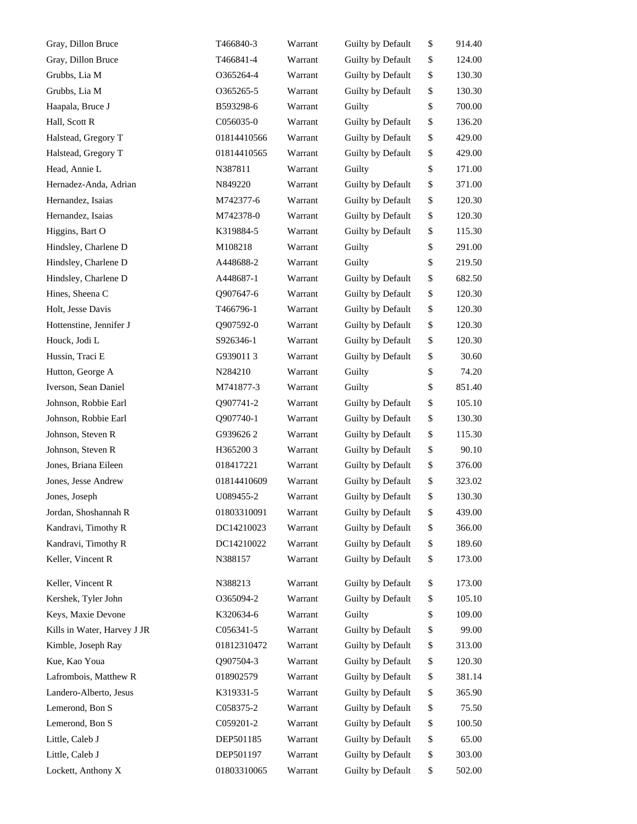| Gray, Dillon Bruce          | T466840-3   | Warrant | Guilty by Default | \$<br>914.40 |
|-----------------------------|-------------|---------|-------------------|--------------|
| Gray, Dillon Bruce          | T466841-4   | Warrant | Guilty by Default | \$<br>124.00 |
| Grubbs, Lia M               | O365264-4   | Warrant | Guilty by Default | \$<br>130.30 |
| Grubbs, Lia M               | 0365265-5   | Warrant | Guilty by Default | \$<br>130.30 |
| Haapala, Bruce J            | B593298-6   | Warrant | Guilty            | \$<br>700.00 |
| Hall, Scott R               | C056035-0   | Warrant | Guilty by Default | \$<br>136.20 |
| Halstead, Gregory T         | 01814410566 | Warrant | Guilty by Default | \$<br>429.00 |
| Halstead, Gregory T         | 01814410565 | Warrant | Guilty by Default | \$<br>429.00 |
| Head, Annie L               | N387811     | Warrant | Guilty            | \$<br>171.00 |
| Hernadez-Anda, Adrian       | N849220     | Warrant | Guilty by Default | \$<br>371.00 |
| Hernandez, Isaias           | M742377-6   | Warrant | Guilty by Default | \$<br>120.30 |
| Hernandez, Isaias           | M742378-0   | Warrant | Guilty by Default | \$<br>120.30 |
| Higgins, Bart O             | K319884-5   | Warrant | Guilty by Default | \$<br>115.30 |
| Hindsley, Charlene D        | M108218     | Warrant | Guilty            | \$<br>291.00 |
| Hindsley, Charlene D        | A448688-2   | Warrant | Guilty            | \$<br>219.50 |
| Hindsley, Charlene D        | A448687-1   | Warrant | Guilty by Default | \$<br>682.50 |
| Hines, Sheena C             | Q907647-6   | Warrant | Guilty by Default | \$<br>120.30 |
| Holt, Jesse Davis           | T466796-1   | Warrant | Guilty by Default | \$<br>120.30 |
| Hottenstine, Jennifer J     | Q907592-0   | Warrant | Guilty by Default | \$<br>120.30 |
| Houck, Jodi L               | S926346-1   | Warrant | Guilty by Default | \$<br>120.30 |
| Hussin, Traci E             | G9390113    | Warrant | Guilty by Default | \$<br>30.60  |
| Hutton, George A            | N284210     | Warrant | Guilty            | \$<br>74.20  |
| Iverson, Sean Daniel        | M741877-3   | Warrant | Guilty            | \$<br>851.40 |
| Johnson, Robbie Earl        | Q907741-2   | Warrant | Guilty by Default | \$<br>105.10 |
| Johnson, Robbie Earl        | Q907740-1   | Warrant | Guilty by Default | \$<br>130.30 |
| Johnson, Steven R           | G9396262    | Warrant | Guilty by Default | \$<br>115.30 |
| Johnson, Steven R           | H3652003    | Warrant | Guilty by Default | \$<br>90.10  |
| Jones, Briana Eileen        | 018417221   | Warrant | Guilty by Default | \$<br>376.00 |
| Jones, Jesse Andrew         | 01814410609 | Warrant | Guilty by Default | \$<br>323.02 |
| Jones, Joseph               | U089455-2   | Warrant | Guilty by Default | \$<br>130.30 |
| Jordan, Shoshannah R        | 01803310091 | Warrant | Guilty by Default | \$<br>439.00 |
| Kandravi, Timothy R         | DC14210023  | Warrant | Guilty by Default | \$<br>366.00 |
| Kandravi, Timothy R         | DC14210022  | Warrant | Guilty by Default | \$<br>189.60 |
| Keller, Vincent R           | N388157     | Warrant | Guilty by Default | \$<br>173.00 |
| Keller, Vincent R           | N388213     | Warrant | Guilty by Default | \$<br>173.00 |
| Kershek, Tyler John         | O365094-2   | Warrant | Guilty by Default | \$<br>105.10 |
| Keys, Maxie Devone          | K320634-6   | Warrant | Guilty            | \$<br>109.00 |
| Kills in Water, Harvey J JR | C056341-5   | Warrant | Guilty by Default | \$<br>99.00  |
| Kimble, Joseph Ray          | 01812310472 | Warrant | Guilty by Default | \$<br>313.00 |
| Kue, Kao Youa               | Q907504-3   | Warrant | Guilty by Default | \$<br>120.30 |
| Lafrombois, Matthew R       | 018902579   | Warrant | Guilty by Default | \$<br>381.14 |
| Landero-Alberto, Jesus      | K319331-5   | Warrant | Guilty by Default | \$<br>365.90 |
| Lemerond, Bon S             | C058375-2   | Warrant | Guilty by Default | \$<br>75.50  |
| Lemerond, Bon S             | C059201-2   | Warrant | Guilty by Default | \$<br>100.50 |
| Little, Caleb J             | DEP501185   | Warrant | Guilty by Default | \$<br>65.00  |
| Little, Caleb J             | DEP501197   | Warrant | Guilty by Default | \$<br>303.00 |
| Lockett, Anthony X          | 01803310065 | Warrant | Guilty by Default | \$<br>502.00 |
|                             |             |         |                   |              |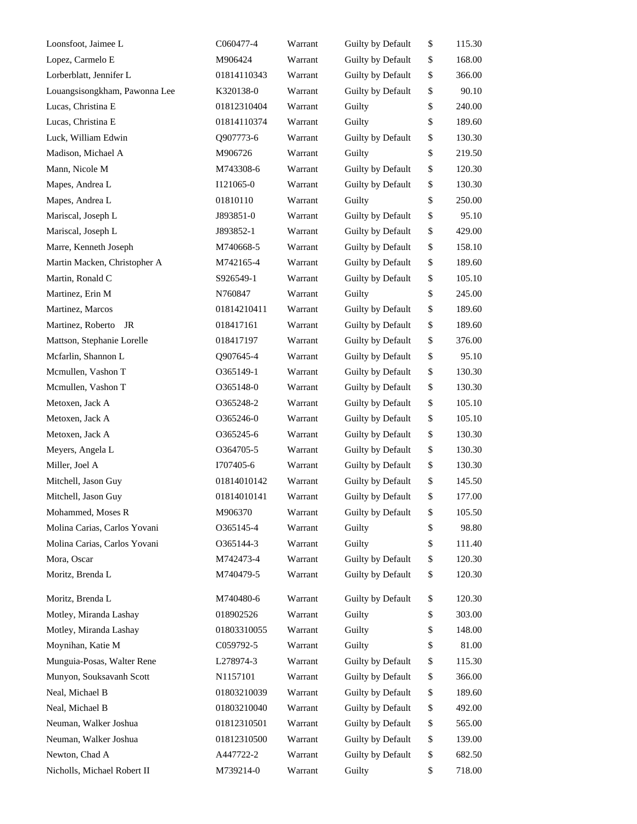| Loonsfoot, Jaimee L           | C060477-4   | Warrant | Guilty by Default | \$<br>115.30 |
|-------------------------------|-------------|---------|-------------------|--------------|
| Lopez, Carmelo E              | M906424     | Warrant | Guilty by Default | \$<br>168.00 |
| Lorberblatt, Jennifer L       | 01814110343 | Warrant | Guilty by Default | \$<br>366.00 |
| Louangsisongkham, Pawonna Lee | K320138-0   | Warrant | Guilty by Default | \$<br>90.10  |
| Lucas, Christina E            | 01812310404 | Warrant | Guilty            | \$<br>240.00 |
| Lucas, Christina E            | 01814110374 | Warrant | Guilty            | \$<br>189.60 |
| Luck, William Edwin           | Q907773-6   | Warrant | Guilty by Default | \$<br>130.30 |
| Madison, Michael A            | M906726     | Warrant | Guilty            | \$<br>219.50 |
| Mann, Nicole M                | M743308-6   | Warrant | Guilty by Default | \$<br>120.30 |
| Mapes, Andrea L               | I121065-0   | Warrant | Guilty by Default | \$<br>130.30 |
| Mapes, Andrea L               | 01810110    | Warrant | Guilty            | \$<br>250.00 |
| Mariscal, Joseph L            | J893851-0   | Warrant | Guilty by Default | \$<br>95.10  |
| Mariscal, Joseph L            | J893852-1   | Warrant | Guilty by Default | \$<br>429.00 |
| Marre, Kenneth Joseph         | M740668-5   | Warrant | Guilty by Default | \$<br>158.10 |
| Martin Macken, Christopher A  | M742165-4   | Warrant | Guilty by Default | \$<br>189.60 |
| Martin, Ronald C              | S926549-1   | Warrant | Guilty by Default | \$<br>105.10 |
| Martinez, Erin M              | N760847     | Warrant | Guilty            | \$<br>245.00 |
| Martinez, Marcos              | 01814210411 | Warrant | Guilty by Default | \$<br>189.60 |
| Martinez, Roberto<br>JR       | 018417161   | Warrant | Guilty by Default | \$<br>189.60 |
| Mattson, Stephanie Lorelle    | 018417197   | Warrant | Guilty by Default | \$<br>376.00 |
| Mcfarlin, Shannon L           | Q907645-4   | Warrant | Guilty by Default | \$<br>95.10  |
| Mcmullen, Vashon T            | 0365149-1   | Warrant | Guilty by Default | \$<br>130.30 |
| Mcmullen, Vashon T            | O365148-0   | Warrant | Guilty by Default | \$<br>130.30 |
| Metoxen, Jack A               | O365248-2   | Warrant | Guilty by Default | \$<br>105.10 |
| Metoxen, Jack A               | 0365246-0   | Warrant | Guilty by Default | \$<br>105.10 |
| Metoxen, Jack A               | 0365245-6   | Warrant | Guilty by Default | \$<br>130.30 |
| Meyers, Angela L              | O364705-5   | Warrant | Guilty by Default | \$<br>130.30 |
| Miller, Joel A                | I707405-6   | Warrant | Guilty by Default | \$<br>130.30 |
| Mitchell, Jason Guy           | 01814010142 | Warrant | Guilty by Default | \$<br>145.50 |
| Mitchell, Jason Guy           | 01814010141 | Warrant | Guilty by Default | \$<br>177.00 |
| Mohammed, Moses R             | M906370     | Warrant | Guilty by Default | \$<br>105.50 |
| Molina Carias, Carlos Yovani  | O365145-4   | Warrant | Guilty            | \$<br>98.80  |
| Molina Carias, Carlos Yovani  | O365144-3   | Warrant | Guilty            | \$<br>111.40 |
| Mora, Oscar                   | M742473-4   | Warrant | Guilty by Default | \$<br>120.30 |
| Moritz, Brenda L              | M740479-5   | Warrant | Guilty by Default | \$<br>120.30 |
| Moritz, Brenda L              | M740480-6   | Warrant | Guilty by Default | \$<br>120.30 |
| Motley, Miranda Lashay        | 018902526   | Warrant | Guilty            | \$<br>303.00 |
| Motley, Miranda Lashay        | 01803310055 | Warrant | Guilty            | \$<br>148.00 |
| Moynihan, Katie M             | C059792-5   | Warrant | Guilty            | \$<br>81.00  |
| Munguia-Posas, Walter Rene    | L278974-3   | Warrant | Guilty by Default | \$<br>115.30 |
| Munyon, Souksavanh Scott      | N1157101    | Warrant | Guilty by Default | \$<br>366.00 |
| Neal, Michael B               | 01803210039 | Warrant | Guilty by Default | \$<br>189.60 |
| Neal, Michael B               | 01803210040 | Warrant | Guilty by Default | \$<br>492.00 |
| Neuman, Walker Joshua         | 01812310501 | Warrant | Guilty by Default | \$<br>565.00 |
| Neuman, Walker Joshua         | 01812310500 | Warrant | Guilty by Default | \$<br>139.00 |
| Newton, Chad A                | A447722-2   | Warrant | Guilty by Default | \$<br>682.50 |
| Nicholls, Michael Robert II   | M739214-0   | Warrant | Guilty            | \$<br>718.00 |
|                               |             |         |                   |              |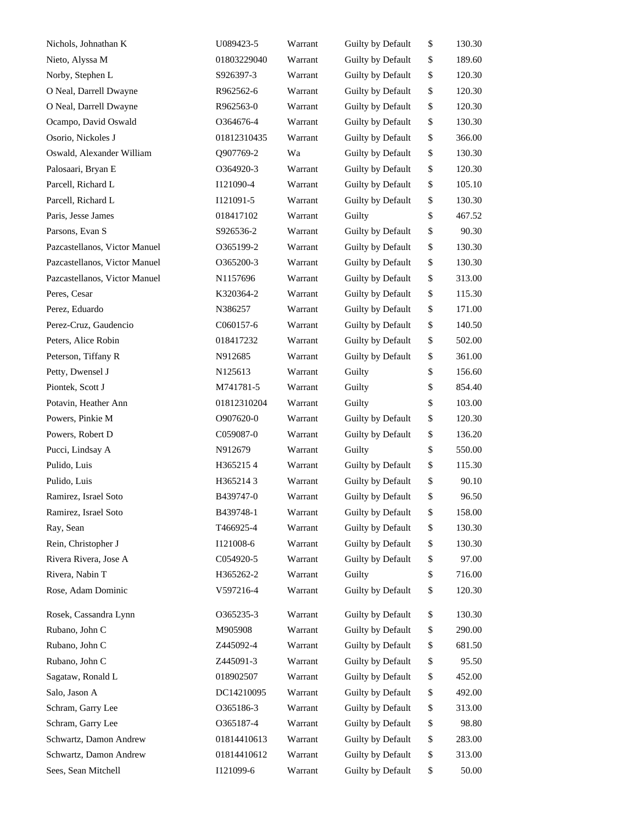| Nichols, Johnathan K          | U089423-5   | Warrant | Guilty by Default | \$<br>130.30 |
|-------------------------------|-------------|---------|-------------------|--------------|
| Nieto, Alyssa M               | 01803229040 | Warrant | Guilty by Default | \$<br>189.60 |
| Norby, Stephen L              | S926397-3   | Warrant | Guilty by Default | \$<br>120.30 |
| O Neal, Darrell Dwayne        | R962562-6   | Warrant | Guilty by Default | \$<br>120.30 |
| O Neal, Darrell Dwayne        | R962563-0   | Warrant | Guilty by Default | \$<br>120.30 |
| Ocampo, David Oswald          | O364676-4   | Warrant | Guilty by Default | \$<br>130.30 |
| Osorio, Nickoles J            | 01812310435 | Warrant | Guilty by Default | \$<br>366.00 |
| Oswald, Alexander William     | Q907769-2   | Wa      | Guilty by Default | \$<br>130.30 |
| Palosaari, Bryan E            | O364920-3   | Warrant | Guilty by Default | \$<br>120.30 |
| Parcell, Richard L            | I121090-4   | Warrant | Guilty by Default | \$<br>105.10 |
| Parcell, Richard L            | I121091-5   | Warrant | Guilty by Default | \$<br>130.30 |
| Paris, Jesse James            | 018417102   | Warrant | Guilty            | \$<br>467.52 |
| Parsons, Evan S               | S926536-2   | Warrant | Guilty by Default | \$<br>90.30  |
| Pazcastellanos, Victor Manuel | O365199-2   | Warrant | Guilty by Default | \$<br>130.30 |
| Pazcastellanos, Victor Manuel | O365200-3   | Warrant | Guilty by Default | \$<br>130.30 |
| Pazcastellanos, Victor Manuel | N1157696    | Warrant | Guilty by Default | \$<br>313.00 |
| Peres, Cesar                  | K320364-2   | Warrant | Guilty by Default | \$<br>115.30 |
| Perez, Eduardo                | N386257     | Warrant | Guilty by Default | \$<br>171.00 |
| Perez-Cruz, Gaudencio         | C060157-6   | Warrant | Guilty by Default | \$<br>140.50 |
| Peters, Alice Robin           | 018417232   | Warrant | Guilty by Default | \$<br>502.00 |
| Peterson, Tiffany R           | N912685     | Warrant | Guilty by Default | \$<br>361.00 |
| Petty, Dwensel J              | N125613     | Warrant | Guilty            | \$<br>156.60 |
| Piontek, Scott J              | M741781-5   | Warrant | Guilty            | \$<br>854.40 |
| Potavin, Heather Ann          | 01812310204 | Warrant | Guilty            | \$<br>103.00 |
| Powers, Pinkie M              | O907620-0   | Warrant | Guilty by Default | \$<br>120.30 |
| Powers, Robert D              | C059087-0   | Warrant | Guilty by Default | \$<br>136.20 |
| Pucci, Lindsay A              | N912679     | Warrant | Guilty            | \$<br>550.00 |
| Pulido, Luis                  | H3652154    | Warrant | Guilty by Default | \$<br>115.30 |
| Pulido, Luis                  | H3652143    | Warrant | Guilty by Default | \$<br>90.10  |
| Ramirez, Israel Soto          | B439747-0   | Warrant | Guilty by Default | \$<br>96.50  |
| Ramirez, Israel Soto          | B439748-1   | Warrant | Guilty by Default | \$<br>158.00 |
| Ray, Sean                     | T466925-4   | Warrant | Guilty by Default | \$<br>130.30 |
| Rein, Christopher J           | I121008-6   | Warrant | Guilty by Default | \$<br>130.30 |
| Rivera Rivera, Jose A         | C054920-5   | Warrant | Guilty by Default | \$<br>97.00  |
| Rivera, Nabin T               | H365262-2   | Warrant | Guilty            | \$<br>716.00 |
| Rose, Adam Dominic            | V597216-4   | Warrant | Guilty by Default | \$<br>120.30 |
| Rosek, Cassandra Lynn         | 0365235-3   | Warrant | Guilty by Default | \$<br>130.30 |
| Rubano, John C                | M905908     | Warrant | Guilty by Default | \$<br>290.00 |
| Rubano, John C                | Z445092-4   | Warrant | Guilty by Default | \$<br>681.50 |
| Rubano, John C                | Z445091-3   | Warrant | Guilty by Default | \$<br>95.50  |
| Sagataw, Ronald L             | 018902507   | Warrant | Guilty by Default | \$<br>452.00 |
| Salo, Jason A                 | DC14210095  | Warrant | Guilty by Default | \$<br>492.00 |
| Schram, Garry Lee             | O365186-3   | Warrant | Guilty by Default | \$<br>313.00 |
| Schram, Garry Lee             | O365187-4   | Warrant | Guilty by Default | \$<br>98.80  |
| Schwartz, Damon Andrew        | 01814410613 | Warrant | Guilty by Default | \$<br>283.00 |
| Schwartz, Damon Andrew        | 01814410612 | Warrant | Guilty by Default | \$<br>313.00 |
| Sees, Sean Mitchell           | I121099-6   | Warrant | Guilty by Default | \$<br>50.00  |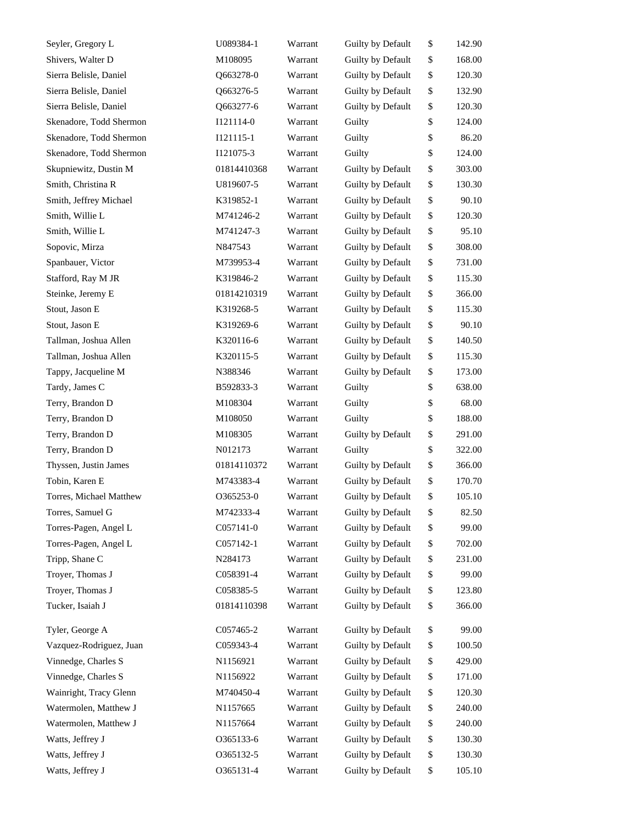| Seyler, Gregory L       | U089384-1   | Warrant | Guilty by Default | \$<br>142.90 |
|-------------------------|-------------|---------|-------------------|--------------|
| Shivers, Walter D       | M108095     | Warrant | Guilty by Default | \$<br>168.00 |
| Sierra Belisle, Daniel  | Q663278-0   | Warrant | Guilty by Default | \$<br>120.30 |
| Sierra Belisle, Daniel  | Q663276-5   | Warrant | Guilty by Default | \$<br>132.90 |
| Sierra Belisle, Daniel  | Q663277-6   | Warrant | Guilty by Default | \$<br>120.30 |
| Skenadore, Todd Shermon | I121114-0   | Warrant | Guilty            | \$<br>124.00 |
| Skenadore, Todd Shermon | I121115-1   | Warrant | Guilty            | \$<br>86.20  |
| Skenadore, Todd Shermon | I121075-3   | Warrant | Guilty            | \$<br>124.00 |
| Skupniewitz, Dustin M   | 01814410368 | Warrant | Guilty by Default | \$<br>303.00 |
| Smith, Christina R      | U819607-5   | Warrant | Guilty by Default | \$<br>130.30 |
| Smith, Jeffrey Michael  | K319852-1   | Warrant | Guilty by Default | \$<br>90.10  |
| Smith, Willie L         | M741246-2   | Warrant | Guilty by Default | \$<br>120.30 |
| Smith, Willie L         | M741247-3   | Warrant | Guilty by Default | \$<br>95.10  |
| Sopovic, Mirza          | N847543     | Warrant | Guilty by Default | \$<br>308.00 |
| Spanbauer, Victor       | M739953-4   | Warrant | Guilty by Default | \$<br>731.00 |
| Stafford, Ray M JR      | K319846-2   | Warrant | Guilty by Default | \$<br>115.30 |
| Steinke, Jeremy E       | 01814210319 | Warrant | Guilty by Default | \$<br>366.00 |
| Stout, Jason E          | K319268-5   | Warrant | Guilty by Default | \$<br>115.30 |
| Stout, Jason E          | K319269-6   | Warrant | Guilty by Default | \$<br>90.10  |
| Tallman, Joshua Allen   | K320116-6   | Warrant | Guilty by Default | \$<br>140.50 |
| Tallman, Joshua Allen   | K320115-5   | Warrant | Guilty by Default | \$<br>115.30 |
| Tappy, Jacqueline M     | N388346     | Warrant | Guilty by Default | \$<br>173.00 |
| Tardy, James C          | B592833-3   | Warrant | Guilty            | \$<br>638.00 |
| Terry, Brandon D        | M108304     | Warrant | Guilty            | \$<br>68.00  |
| Terry, Brandon D        | M108050     | Warrant | Guilty            | \$<br>188.00 |
| Terry, Brandon D        | M108305     | Warrant | Guilty by Default | \$<br>291.00 |
| Terry, Brandon D        | N012173     | Warrant | Guilty            | \$<br>322.00 |
| Thyssen, Justin James   | 01814110372 | Warrant | Guilty by Default | \$<br>366.00 |
| Tobin, Karen E          | M743383-4   | Warrant | Guilty by Default | \$<br>170.70 |
| Torres, Michael Matthew | O365253-0   | Warrant | Guilty by Default | \$<br>105.10 |
| Torres, Samuel G        | M742333-4   | Warrant | Guilty by Default | \$<br>82.50  |
| Torres-Pagen, Angel L   | C057141-0   | Warrant | Guilty by Default | \$<br>99.00  |
| Torres-Pagen, Angel L   | C057142-1   | Warrant | Guilty by Default | \$<br>702.00 |
| Tripp, Shane C          | N284173     | Warrant | Guilty by Default | \$<br>231.00 |
| Troyer, Thomas J        | C058391-4   | Warrant | Guilty by Default | \$<br>99.00  |
| Troyer, Thomas J        | C058385-5   | Warrant | Guilty by Default | \$<br>123.80 |
| Tucker, Isaiah J        | 01814110398 | Warrant | Guilty by Default | \$<br>366.00 |
| Tyler, George A         | C057465-2   | Warrant | Guilty by Default | \$<br>99.00  |
| Vazquez-Rodriguez, Juan | C059343-4   | Warrant | Guilty by Default | \$<br>100.50 |
| Vinnedge, Charles S     | N1156921    | Warrant | Guilty by Default | \$<br>429.00 |
| Vinnedge, Charles S     | N1156922    | Warrant | Guilty by Default | \$<br>171.00 |
| Wainright, Tracy Glenn  | M740450-4   | Warrant | Guilty by Default | \$<br>120.30 |
| Watermolen, Matthew J   | N1157665    | Warrant | Guilty by Default | \$<br>240.00 |
| Watermolen, Matthew J   | N1157664    | Warrant | Guilty by Default | \$<br>240.00 |
| Watts, Jeffrey J        | 0365133-6   | Warrant | Guilty by Default | \$<br>130.30 |
| Watts, Jeffrey J        | 0365132-5   | Warrant | Guilty by Default | \$<br>130.30 |
| Watts, Jeffrey J        | O365131-4   | Warrant | Guilty by Default | \$<br>105.10 |